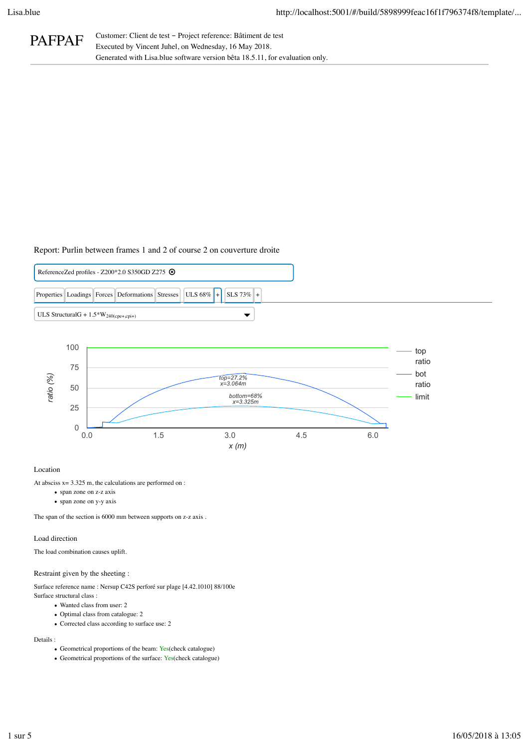PAFPAF Customer: Client de test – Project reference: Bâtiment de test<br>Executed by Vincent Juhel, on Wednesday, 16 May 2018. Generated with Lisa.blue software version bêta 18.5.11, for evaluation only.

# Report: Purlin between frames 1 and 2 of course 2 on couverture droite





# Location

At absciss  $x = 3.325$  m, the calculations are performed on :

- span zone on z-z axis
- span zone on y-y axis

The span of the section is 6000 mm between supports on z-z axis .

# Load direction

The load combination causes uplift.

#### Restraint given by the sheeting :

Surface reference name : Nersup C42S perforé sur plage [4.42.1010] 88/100e Surface structural class :

- Wanted class from user: 2
- Optimal class from catalogue: 2
- Corrected class according to surface use: 2

# Details :

- Geometrical proportions of the beam: Yes(check catalogue)
- Geometrical proportions of the surface: Yes(check catalogue)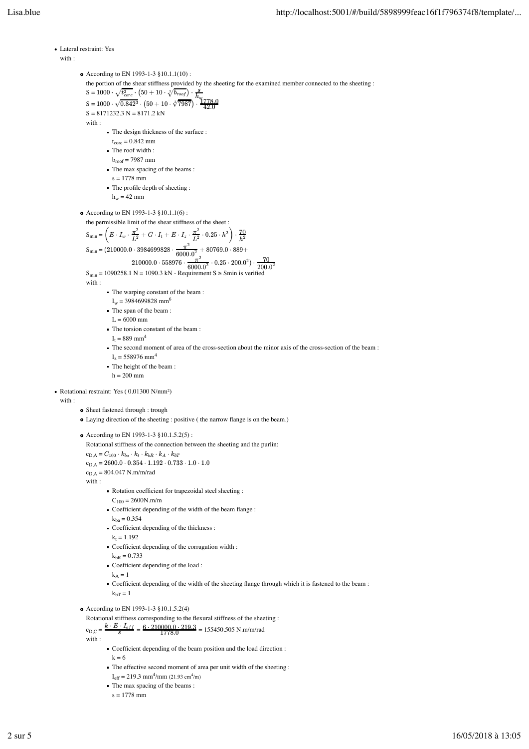```
Lateral restraint: Yes
  with :
            • According to EN 1993-1-3 §10.1.1(10):
               the portion of the shear stiffness provided by the sheeting for the examined member connected to the sheeting :
                \text{S}=1000\cdot \sqrt{t_{core}^3}\cdot \left(50+10\cdot \sqrt[3]{b_{root}}\right)\cdot\text{S} = 1000 \cdot \sqrt{0.842^3} \cdot \left(50 + 10 \cdot \sqrt[3]{7987}\right) \cdotS = 8171232.3 N = 8171.2 kNwith :
                         The design thickness of the surface :
                            t_{\rm core} = 0.842 mm
                         The roof width :
                            b_{\text{roof}} = 7987 mm
                         The max spacing of the beams :
                           s = 1778 mm
                         The profile depth of sheeting :
                            h_w = 42 mm
            • According to EN 1993-1-3 §10.1.1(6):
               the permissible limit of the shear stiffness of the sheet :
                S_{\min} = \left( E \cdot I_w \cdot \frac{\pi}{l^2} + G \cdot I_t + E \cdot I_z \cdot \frac{\pi}{l^2} \cdot 0.25 \cdot h^2 \right)S_{\text{min}} = (210000.0 \cdot 3984699828 \cdot \frac{\pi}{6000.02} + 80769.0 \cdot 889 +210000.0 \cdot 558976 \cdot \frac{\pi}{6000.02} \cdot 0.25 \cdot 200.0^2).
                S_{\text{min}} = 1090258.1 \text{ N} = 1090.3 \text{ kN} - Requirement S \geq S_{\text{min}} is verified
               with :
                         The warping constant of the beam :
                            I_w = 3984699828 mm<sup>6</sup>
                         The span of the beam :
                           L = 6000 mm
                         The torsion constant of the beam :
                            I_t = 889 mm<sup>4</sup>
                         The second moment of area of the cross-section about the minor axis of the cross-section of the beam :
                            I_z = 558976 mm<sup>4</sup>
                         The height of the beam :
                           h = 200 mm
Rotational restraint: Yes ( 0.01300 N/mm²)
  with :
            o Sheet fastened through : trough
            Laying direction of the sheeting : positive ( the narrow flange is on the beam.)
            According to EN 1993-1-3 §10.1.5.2(5) :
               Rotational stiffness of the connection between the sheeting and the purlin:
                c_{\text{D,A}} = C_{100} \cdot k_{ba} \cdot k_t \cdot k_{bR} \cdot k_A \cdot k_{bT}c_{\rm D,A} = 2600.0 \cdot 0.354 \cdot 1.192 \cdot 0.733 \cdot 1.0 \cdot 1.0c_{\text{D,A}} = 804.047 \text{ N.m/m/rad}with :
                         Rotation coefficient for trapezoidal steel sheeting :
                            C_{100} = 2600N.m/mCoefficient depending of the width of the beam flange :
                            k_{ba} = 0.354Coefficient depending of the thickness :
                            k_t = 1.192Coefficient depending of the corrugation width :
                            k_{bR} = 0.733Coefficient depending of the load :
                            k_A = 1Coefficient depending of the width of the sheeting flange through which it is fastened to the beam :
                            k_{bT} = 1• According to EN 1993-1-3 §10.1.5.2(4)
               Rotational stiffness corresponding to the flexural stiffness of the sheeting :
                c_{\text{D,C}} = \frac{k \cdot E \cdot I_{eff}}{s} = \frac{6 \cdot 210000.0 \cdot 219.3}{1778.0} = 155450.505 \text{ N.m/m/rad}with :
                         Coefficient depending of the beam position and the load direction :
                              \sqrt{t_{core}^3}\cdot\left(50+10\cdot\sqrt[3]{b_{root}}\right)\cdot\frac{s}{h_{up}}\sqrt{0.842^3}\cdot \left(50+10\cdot \sqrt[3]{7987}\right)\cdot \frac{1778.0}{42.0}\mathbf{m}\text{in} = \left( E \cdot I_w \cdot \frac{\pi^2}{L^2} + G \cdot I_t + E \cdot I_z \cdot \frac{\pi^2}{L^2} \cdot 0.25 \cdot h^2 \right) \cdot \frac{70}{h^2}m_{\text{min}} = (210000.0 \cdot 3984699828 \cdot \frac{\pi^2}{6000.0^2})\frac{\pi^2}{6000.0^2} \cdot 0.25 \cdot 200.0^2) \cdot \frac{70}{200.0^2}
```
- $k = 6$ 
	- The effective second moment of area per unit width of the sheeting :
	- $I_{\text{eff}} = 219.3 \text{ mm}^4/\text{mm}$  (21.93 cm<sup>4</sup>/m)
	- The max spacing of the beams :
	- $s = 1778$  mm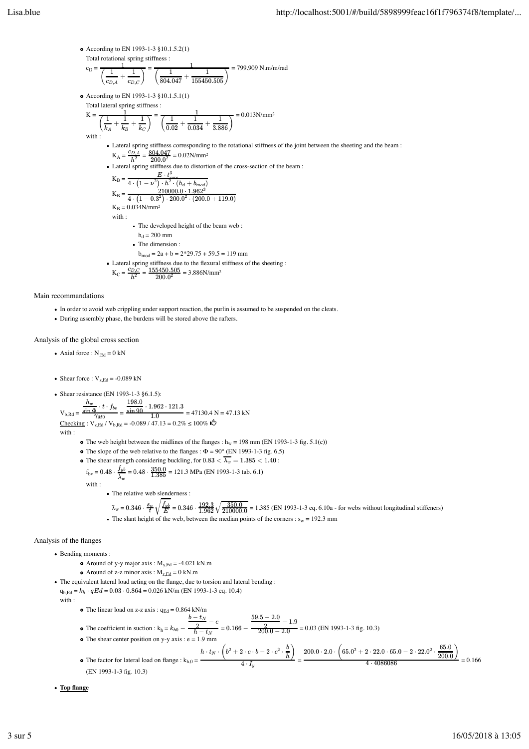According to EN 1993-1-3 §10.1.5.2(1) Total rotational spring stiffness :

$$
c_{\rm D} = \frac{1}{\left(\frac{1}{c_{D,A}} + \frac{1}{c_{D,C}}\right)} = \frac{1}{\left(\frac{1}{804.047} + \frac{1}{155450.505}\right)} = 799.909 \text{ N.m/m/rad}
$$

• According to EN 1993-1-3 §10.1.5.1(1) Total lateral spring stiffness :

$$
K = \frac{1}{\left(\frac{1}{k_A} + \frac{1}{k_B} + \frac{1}{k_C}\right)} = \frac{1}{\left(\frac{1}{0.02} + \frac{1}{0.034} + \frac{1}{3.886}\right)} = 0.013 \text{N/mm}^2
$$

with :

- Lateral spring stiffness corresponding to the rotational stiffness of the joint between the sheeting and the beam :  $K_A = \frac{c_{D,A}}{h^2} = \frac{804.047}{200.0^2} = 0.02$ N/mm<sup>2</sup>
- Lateral spring stiffness due to distortion of the cross-section of the beam :

$$
K_{B} = \frac{E \cdot t_{core}^{3}}{4 \cdot (1 - \nu^{2}) \cdot h^{2} \cdot (h_{d} + b_{mod})}
$$
  
\n
$$
K_{B} = \frac{210000.0 \cdot 1.962^{3}}{4 \cdot (1 - 0.3^{2}) \cdot 200.0^{2} \cdot (200.0 + 119.0)}
$$
  
\n
$$
K_{B} = 0.034 \text{N/mm}^{2}
$$
  
\nwith:  
\n• The developed height of the beam web:  
\n
$$
h_{d} = 200 \text{ mm}
$$
  
\n• The dimension:  
\n
$$
b_{mod} = 2a + b = 2*29.75 + 59.5 = 119 \text{ mm}
$$

Lateral spring stiffness due to the flexural stiffness of the sheeting :  $K_C = \frac{c_{D,C}}{h^2} = \frac{155450.505}{200.0^2} = 3.886 \text{N/mm}^2$ 

Main recommandations

- In order to avoid web crippling under support reaction, the purlin is assumed to be suspended on the cleats.
- During assembly phase, the burdens will be stored above the rafters.

Analysis of the global cross section

Axial force :  $N_{Ed} = 0$  kN

Shear force :  $V_{z,Ed} = -0.089$  kN

Shear resistance (EN 1993-1-3 §6.1.5):  
\n
$$
V_{b,Rd} = \frac{h_w}{\sin \Phi} \cdot t \cdot f_{bv} = \frac{198.0}{\sin 90} \cdot 1.962 \cdot 121.3
$$
\n
$$
V_{b,Rd} = 47130.4 \text{ N} = 47.13 \text{ kN}
$$
\nChecking:  $V_{z,Ed} / V_{b,Rd} = -0.089 / 47.13 = 0.2% ≤ 100% u^2$ 

$$
h:\qquad
$$

wit

- The web height between the midlines of the flanges :  $h_w = 198$  mm (EN 1993-1-3 fig. 5.1(c))
- The slope of the web relative to the flanges :  $\Phi = 90^\circ$  (EN 1993-1-3 fig. 6.5)
- The shear strength considering buckling, for  $0.83 < \lambda_w = 1.385 < 1.40$ :
- $f_{\text{bv}} = 0.48 \cdot \frac{f_{vb}}{\lambda_w} = 0.48 \cdot \frac{350.0}{1.385} = 121.3 \text{ MPa (EN 1993-1-3 tab. 6.1)}$
- with :
	- The relative web slenderness :
	- $\overline{\lambda}_w = 0.346 \cdot \frac{8 \mu}{t} \sqrt{\frac{f_{yb}}{E}} = 0.346 \cdot \frac{192.3}{1.962} \sqrt{\frac{350.0}{210000.0}} = 1.385 \text{ (EN 1993-1-3 eq. 6.10a for webs without longitudinal stiffness)}$ The slant height of the web, between the median points of the corners :  $s_w = 192.3$  mm

# Analysis of the flanges

- Bending moments :
	- Around of y-y major axis :  $M_{y,Ed} = -4.021 \text{ kN.m}$
	- Around of z-z minor  $axis : M_{z, Ed} = 0 kN.m$
- The equivalent lateral load acting on the flange, due to torsion and lateral bending :  $q_{h,Ed} = k_h \cdot qEd = 0.03 \cdot 0.864 = 0.026$  kN/m (EN 1993-1-3 eq. 10.4)
- with :
	- The linear load on z-z axis :  $q_{Ed} = 0.864$  kN/m
	- The coefficient in suction :  $k_h = k_{h0} \frac{\frac{b t_N}{2} e}{h t_N} = 0.166 \frac{\frac{59.5 2.0}{2} 1.9}{200.0 2.0} = 0.03$  (EN 1993-1-3 fig. 10.3)  $\frac{59.5 - 2.0}{2} - 1.9$   $\frac{200.0 - 2.0}{2}$
	- $\bullet$  The shear center position on y-y axis : e = 1.9 mm
	- The factor for lateral load on flange : k<sub>h,0</sub> =  $\frac{h}{4 \cdot I_y}$  =  $\frac{h}{4 \cdot 4086086}$  =  $\frac{200.0}{200.0}$  = 0.166 (EN 1993-1-3 fig. 10.3)  $h\cdot t_N\cdot\left(b^2+2\cdot c\cdot b-2\cdot c^2\cdot\frac{b}{h}\right)$  $\left(\frac{b}{b}\right)$ 4 ⋅ 4086086  $200.0\cdot 2.0\cdot \left(65.0^2+2\cdot 22.0\cdot 65.0-2\cdot 22.0^2\cdot \frac{65.0}{200.0}\right)$

**Top flange**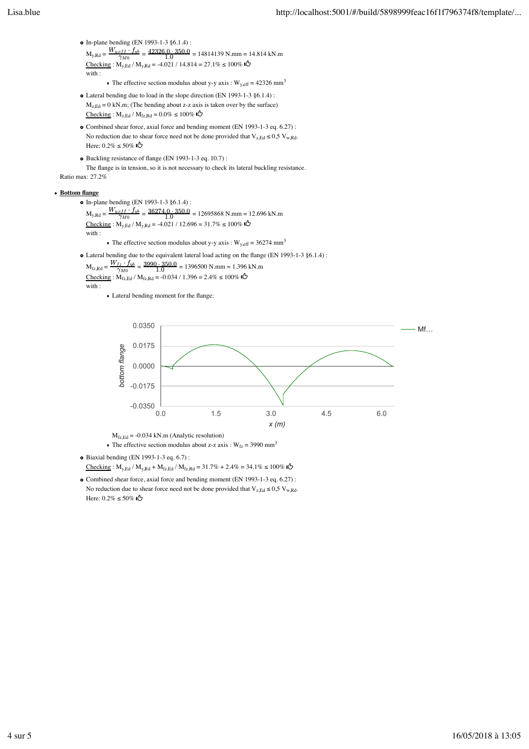- In-plane bending (EN 1993-1-3 §6.1.4):  $M_{y, Rd} = \frac{W_{y, eff} + f_{yb}}{\gamma_{M0}} = \frac{42326.0 \cdot 350.0}{1.0} = 14814139 \text{ N} \cdot \text{mm} = 14.814 \text{ kN} \cdot \text{m}$  $\text{Checking}: \text{M}_{\text{y,Ed}} / \text{M}_{\text{y,Rd}} = -4.021 / 14.814 = 27.1\% \le 100\%$  ا $\text{O}$ with :
	- The effective section modulus about y-y axis :  $W_{y,eff} = 42326$  mm<sup>3</sup>
- Lateral bending due to load in the slope direction (EN 1993-1-3 §6.1.4) :  $M_{z, Ed} = 0$  kN.m; (The bending about z-z axis is taken over by the surface)  $\text{Checking}: \text{M}_{\text{z,Ed}} / \text{M}_{\text{fz,Rd}} = 0.0\% \le 100\%$
- Combined shear force, axial force and bending moment (EN 1993-1-3 eq. 6.27) : No reduction due to shear force need not be done provided that  $V_{z, Ed} \le 0.5 V_{w, Rd}$ . Here: 0.2% ≤ 50%
- Buckling resistance of flange (EN 1993-1-3 eq. 10.7) : The flange is in tension, so it is not necessary to check its lateral buckling resistance. Ratio max: 27.2%

### **• Bottom flange**

- In-plane bending (EN 1993-1-3 §6.1.4) :  $M_{y, Rd} = \frac{W_{y, eff} + f_{yb}}{\gamma_{M0}} = \frac{36274.0 \cdot 350.0}{1.0} = 12695868 \text{ N} \cdot \text{mm} = 12.696 \text{ kN} \cdot \text{m}$  $\text{Checking}: M_{y,Ed} / M_{y,Rd} = -4.021 / 12.696 = 31.7\% \le 100\%$  ال with : The effective section modulus about y-y axis :  $W_{y,eff} = 36274$  mm<sup>3</sup>
- Lateral bending due to the equivalent lateral load acting on the flange (EN 1993-1-3 §6.1.4) :
	- $M_{fz, Rd} = \frac{W_{fz} \cdot f_{yb}}{\gamma_{M0}} = \frac{3990 \cdot 350.0}{1.0} = 1396500 \text{ N.mm} = 1.396 \text{ kN.m}$ Checking : M<sub>fz,Ed</sub> / M<sub>fz,Rd</sub> = -0.034 / 1.396 = 2.4% ≤ 100% **i** with :
		- - Lateral bending moment for the flange:



 $M_{\text{fz,Ed}} = -0.034 \text{ kN.m}$  (Analytic resolution)

- The effective section modulus about z-z axis :  $W_{fz} = 3990$  mm<sup>3</sup>
- $\bullet$  Biaxial bending (EN 1993-1-3 eq. 6.7) :
	- Checking : M<sub>y,Ed</sub> / M<sub>y,Rd</sub> + M<sub>fz,Ed</sub> / M<sub>fz,Rd</sub> = 31.7% + 2.4% = 34.1% ≤ 100% I**C**
- Combined shear force, axial force and bending moment (EN 1993-1-3 eq. 6.27) : No reduction due to shear force need not be done provided that  $V_{z, Ed} \le 0.5 V_{w, Rd}$ . Here: 0.2% ≤ 50%